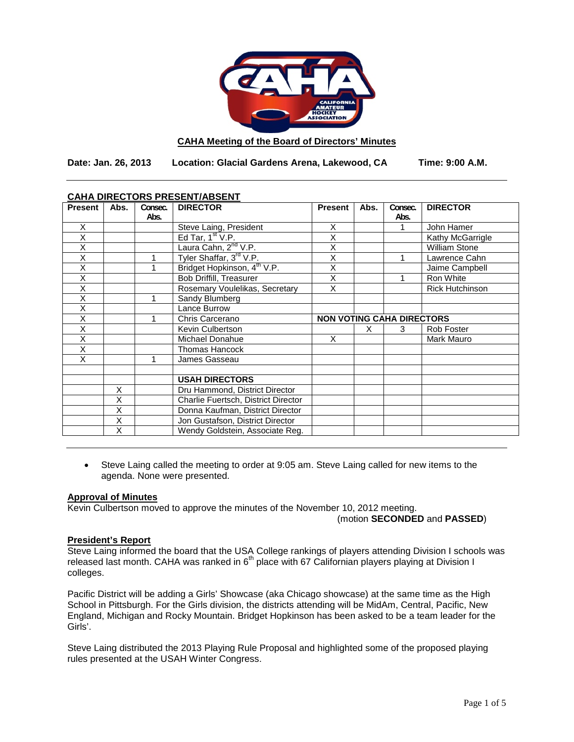

### **CAHA Meeting of the Board of Directors' Minutes**

**Date: Jan. 26, 2013 Location: Glacial Gardens Arena, Lakewood, CA Time: 9:00 A.M.**

| CANA DIRECTORS PRESENT/ABSENT |      |         |                                         |                                  |      |         |                        |  |
|-------------------------------|------|---------|-----------------------------------------|----------------------------------|------|---------|------------------------|--|
| <b>Present</b>                | Abs. | Consec. | <b>DIRECTOR</b>                         | <b>Present</b>                   | Abs. | Consec. | <b>DIRECTOR</b>        |  |
|                               |      | Abs.    |                                         |                                  |      | Abs.    |                        |  |
| X                             |      |         | Steve Laing, President                  | X                                |      |         | John Hamer             |  |
| X                             |      |         | Ed Tar, $1st V.P.$                      | X                                |      |         | Kathy McGarrigle       |  |
| Χ                             |      |         | Laura Cahn, 2 <sup>nd</sup> V.P.        | X                                |      |         | <b>William Stone</b>   |  |
| Χ                             |      |         | Tyler Shaffar, 3rd V.P.                 | X                                |      |         | Lawrence Cahn          |  |
| Χ                             |      | 1       | Bridget Hopkinson, 4 <sup>th</sup> V.P. | X                                |      |         | Jaime Campbell         |  |
| Χ                             |      |         | <b>Bob Driffill, Treasurer</b>          | X                                |      |         | Ron White              |  |
| X                             |      |         | Rosemary Voulelikas, Secretary          | X                                |      |         | <b>Rick Hutchinson</b> |  |
| X                             |      | 1       | Sandy Blumberg                          |                                  |      |         |                        |  |
| X                             |      |         | Lance Burrow                            |                                  |      |         |                        |  |
| Χ                             |      | 1       | Chris Carcerano                         | <b>NON VOTING CAHA DIRECTORS</b> |      |         |                        |  |
| X                             |      |         | Kevin Culbertson                        |                                  | x    | 3       | Rob Foster             |  |
| Χ                             |      |         | <b>Michael Donahue</b>                  | X                                |      |         | Mark Mauro             |  |
| X                             |      |         | <b>Thomas Hancock</b>                   |                                  |      |         |                        |  |
| X                             |      | 1       | James Gasseau                           |                                  |      |         |                        |  |
|                               |      |         |                                         |                                  |      |         |                        |  |
|                               |      |         | <b>USAH DIRECTORS</b>                   |                                  |      |         |                        |  |
|                               | X    |         | Dru Hammond, District Director          |                                  |      |         |                        |  |
|                               | X    |         | Charlie Fuertsch, District Director     |                                  |      |         |                        |  |
|                               | X    |         | Donna Kaufman, District Director        |                                  |      |         |                        |  |
|                               | X    |         | Jon Gustafson, District Director        |                                  |      |         |                        |  |
|                               | X    |         | Wendy Goldstein, Associate Reg.         |                                  |      |         |                        |  |

# **CAHA DIRECTORS PRESENT/ABSENT**

• Steve Laing called the meeting to order at 9:05 am. Steve Laing called for new items to the agenda. None were presented.

# **Approval of Minutes**

Kevin Culbertson moved to approve the minutes of the November 10, 2012 meeting. (motion **SECONDED** and **PASSED**)

### **President's Report**

Steve Laing informed the board that the USA College rankings of players attending Division I schools was released last month. CAHA was ranked in  $6<sup>th</sup>$  place with 67 Californian players playing at Division I colleges.

Pacific District will be adding a Girls' Showcase (aka Chicago showcase) at the same time as the High School in Pittsburgh. For the Girls division, the districts attending will be MidAm, Central, Pacific, New England, Michigan and Rocky Mountain. Bridget Hopkinson has been asked to be a team leader for the Girls'.

Steve Laing distributed the 2013 Playing Rule Proposal and highlighted some of the proposed playing rules presented at the USAH Winter Congress.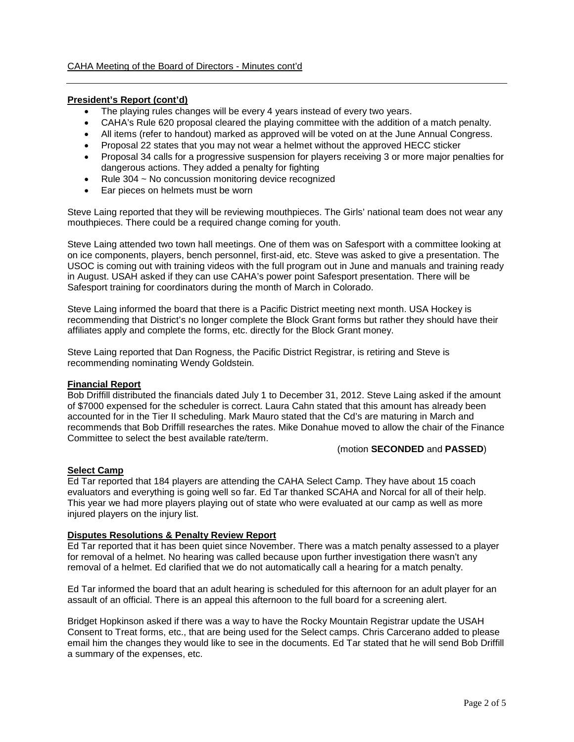# **President's Report (cont'd)**

- The playing rules changes will be every 4 years instead of every two years.
- CAHA's Rule 620 proposal cleared the playing committee with the addition of a match penalty.
- All items (refer to handout) marked as approved will be voted on at the June Annual Congress.
- Proposal 22 states that you may not wear a helmet without the approved HECC sticker
- Proposal 34 calls for a progressive suspension for players receiving 3 or more major penalties for dangerous actions. They added a penalty for fighting
- Rule 304 ~ No concussion monitoring device recognized
- Ear pieces on helmets must be worn

Steve Laing reported that they will be reviewing mouthpieces. The Girls' national team does not wear any mouthpieces. There could be a required change coming for youth.

Steve Laing attended two town hall meetings. One of them was on Safesport with a committee looking at on ice components, players, bench personnel, first-aid, etc. Steve was asked to give a presentation. The USOC is coming out with training videos with the full program out in June and manuals and training ready in August. USAH asked if they can use CAHA's power point Safesport presentation. There will be Safesport training for coordinators during the month of March in Colorado.

Steve Laing informed the board that there is a Pacific District meeting next month. USA Hockey is recommending that District's no longer complete the Block Grant forms but rather they should have their affiliates apply and complete the forms, etc. directly for the Block Grant money.

Steve Laing reported that Dan Rogness, the Pacific District Registrar, is retiring and Steve is recommending nominating Wendy Goldstein.

### **Financial Report**

Bob Driffill distributed the financials dated July 1 to December 31, 2012. Steve Laing asked if the amount of \$7000 expensed for the scheduler is correct. Laura Cahn stated that this amount has already been accounted for in the Tier II scheduling. Mark Mauro stated that the Cd's are maturing in March and recommends that Bob Driffill researches the rates. Mike Donahue moved to allow the chair of the Finance Committee to select the best available rate/term.

### (motion **SECONDED** and **PASSED**)

# **Select Camp**

Ed Tar reported that 184 players are attending the CAHA Select Camp. They have about 15 coach evaluators and everything is going well so far. Ed Tar thanked SCAHA and Norcal for all of their help. This year we had more players playing out of state who were evaluated at our camp as well as more injured players on the injury list.

### **Disputes Resolutions & Penalty Review Report**

Ed Tar reported that it has been quiet since November. There was a match penalty assessed to a player for removal of a helmet. No hearing was called because upon further investigation there wasn't any removal of a helmet. Ed clarified that we do not automatically call a hearing for a match penalty.

Ed Tar informed the board that an adult hearing is scheduled for this afternoon for an adult player for an assault of an official. There is an appeal this afternoon to the full board for a screening alert.

Bridget Hopkinson asked if there was a way to have the Rocky Mountain Registrar update the USAH Consent to Treat forms, etc., that are being used for the Select camps. Chris Carcerano added to please email him the changes they would like to see in the documents. Ed Tar stated that he will send Bob Driffill a summary of the expenses, etc.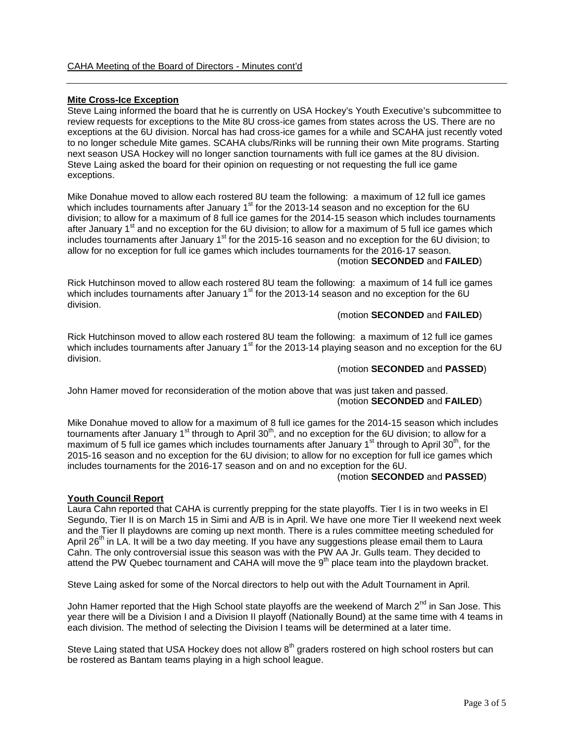### **Mite Cross-Ice Exception**

Steve Laing informed the board that he is currently on USA Hockey's Youth Executive's subcommittee to review requests for exceptions to the Mite 8U cross-ice games from states across the US. There are no exceptions at the 6U division. Norcal has had cross-ice games for a while and SCAHA just recently voted to no longer schedule Mite games. SCAHA clubs/Rinks will be running their own Mite programs. Starting next season USA Hockey will no longer sanction tournaments with full ice games at the 8U division. Steve Laing asked the board for their opinion on requesting or not requesting the full ice game exceptions.

Mike Donahue moved to allow each rostered 8U team the following: a maximum of 12 full ice games which includes tournaments after January 1<sup>st</sup> for the 2013-14 season and no exception for the  $\overset{\sim}{6}U$ division; to allow for a maximum of 8 full ice games for the 2014-15 season which includes tournaments after January  $1<sup>st</sup>$  and no exception for the 6U division; to allow for a maximum of 5 full ice games which includes tournaments after January  $1<sup>st</sup>$  for the 2015-16 season and no exception for the 6U division; to allow for no exception for full ice games which includes tournaments for the 2016-17 season. (motion **SECONDED** and **FAILED**)

Rick Hutchinson moved to allow each rostered 8U team the following: a maximum of 14 full ice games which includes tournaments after January 1<sup>st</sup> for the 2013-14 season and no exception for the 6U division.

# (motion **SECONDED** and **FAILED**)

Rick Hutchinson moved to allow each rostered 8U team the following: a maximum of 12 full ice games which includes tournaments after January 1<sup>st</sup> for the 2013-14 playing season and no exception for the 6U division.

#### (motion **SECONDED** and **PASSED**)

John Hamer moved for reconsideration of the motion above that was just taken and passed. (motion **SECONDED** and **FAILED**)

Mike Donahue moved to allow for a maximum of 8 full ice games for the 2014-15 season which includes tournaments after January 1<sup>st</sup> through to April 30<sup>th</sup>, and no exception for the 6U division; to allow for a maximum of 5 full ice games which includes tournaments after January  $1<sup>st</sup>$  through to April 30<sup>th</sup>, for the 2015-16 season and no exception for the 6U division; to allow for no exception for full ice games which includes tournaments for the 2016-17 season and on and no exception for the 6U.

#### (motion **SECONDED** and **PASSED**)

#### **Youth Council Report**

Laura Cahn reported that CAHA is currently prepping for the state playoffs. Tier I is in two weeks in El Segundo, Tier II is on March 15 in Simi and A/B is in April. We have one more Tier II weekend next week and the Tier II playdowns are coming up next month. There is a rules committee meeting scheduled for April 26<sup>th</sup> in LA. It will be a two day meeting. If you have any suggestions please email them to Laura Cahn. The only controversial issue this season was with the PW AA Jr. Gulls team. They decided to attend the PW Quebec tournament and CAHA will move the  $9<sup>th</sup>$  place team into the playdown bracket.

Steve Laing asked for some of the Norcal directors to help out with the Adult Tournament in April.

John Hamer reported that the High School state playoffs are the weekend of March 2<sup>nd</sup> in San Jose. This year there will be a Division I and a Division II playoff (Nationally Bound) at the same time with 4 teams in each division. The method of selecting the Division I teams will be determined at a later time.

Steve Laing stated that USA Hockey does not allow  $8<sup>th</sup>$  graders rostered on high school rosters but can be rostered as Bantam teams playing in a high school league.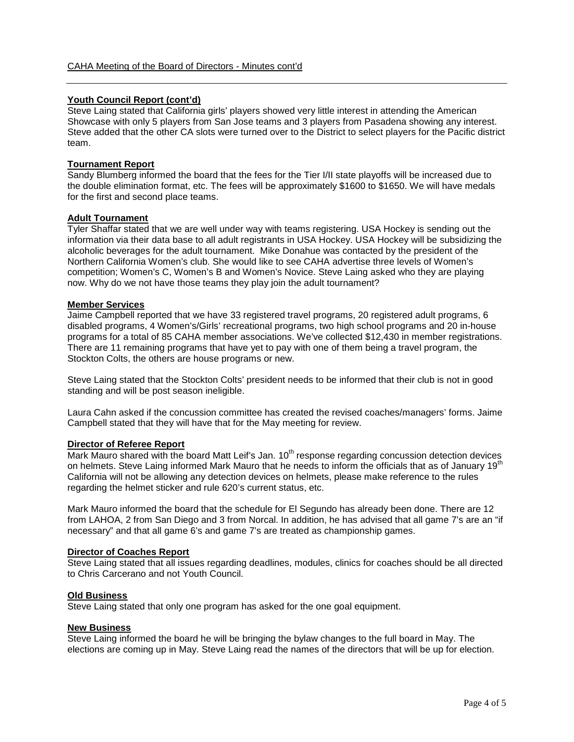### **Youth Council Report (cont'd)**

Steve Laing stated that California girls' players showed very little interest in attending the American Showcase with only 5 players from San Jose teams and 3 players from Pasadena showing any interest. Steve added that the other CA slots were turned over to the District to select players for the Pacific district team.

#### **Tournament Report**

Sandy Blumberg informed the board that the fees for the Tier I/II state playoffs will be increased due to the double elimination format, etc. The fees will be approximately \$1600 to \$1650. We will have medals for the first and second place teams.

# **Adult Tournament**

Tyler Shaffar stated that we are well under way with teams registering. USA Hockey is sending out the information via their data base to all adult registrants in USA Hockey. USA Hockey will be subsidizing the alcoholic beverages for the adult tournament. Mike Donahue was contacted by the president of the Northern California Women's club. She would like to see CAHA advertise three levels of Women's competition; Women's C, Women's B and Women's Novice. Steve Laing asked who they are playing now. Why do we not have those teams they play join the adult tournament?

#### **Member Services**

Jaime Campbell reported that we have 33 registered travel programs, 20 registered adult programs, 6 disabled programs, 4 Women's/Girls' recreational programs, two high school programs and 20 in-house programs for a total of 85 CAHA member associations. We've collected \$12,430 in member registrations. There are 11 remaining programs that have yet to pay with one of them being a travel program, the Stockton Colts, the others are house programs or new.

Steve Laing stated that the Stockton Colts' president needs to be informed that their club is not in good standing and will be post season ineligible.

Laura Cahn asked if the concussion committee has created the revised coaches/managers' forms. Jaime Campbell stated that they will have that for the May meeting for review.

#### **Director of Referee Report**

Mark Mauro shared with the board Matt Leif's Jan. 10<sup>th</sup> response regarding concussion detection devices on helmets. Steve Laing informed Mark Mauro that he needs to inform the officials that as of January  $19<sup>t</sup>$ California will not be allowing any detection devices on helmets, please make reference to the rules regarding the helmet sticker and rule 620's current status, etc.

Mark Mauro informed the board that the schedule for El Segundo has already been done. There are 12 from LAHOA, 2 from San Diego and 3 from Norcal. In addition, he has advised that all game 7's are an "if necessary" and that all game 6's and game 7's are treated as championship games.

#### **Director of Coaches Report**

Steve Laing stated that all issues regarding deadlines, modules, clinics for coaches should be all directed to Chris Carcerano and not Youth Council.

#### **Old Business**

Steve Laing stated that only one program has asked for the one goal equipment.

#### **New Business**

Steve Laing informed the board he will be bringing the bylaw changes to the full board in May. The elections are coming up in May. Steve Laing read the names of the directors that will be up for election.